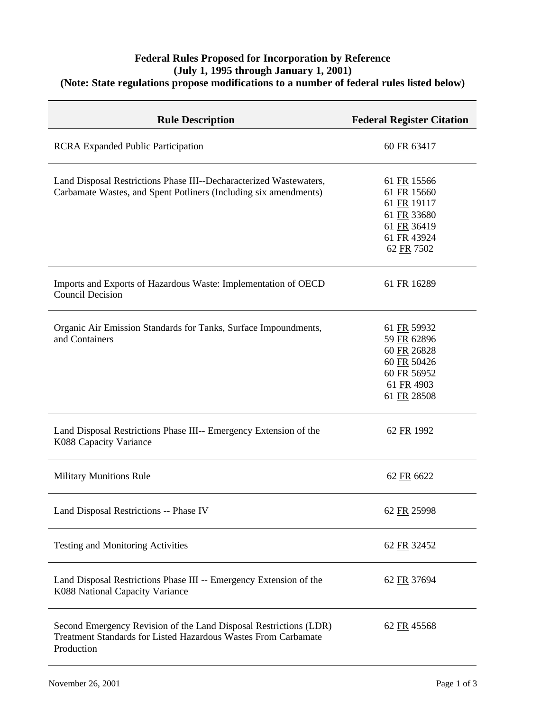## **Federal Rules Proposed for Incorporation by Reference (July 1, 1995 through January 1, 2001) (Note: State regulations propose modifications to a number of federal rules listed below)**

| <b>Rule Description</b>                                                                                                                           | <b>Federal Register Citation</b>                                                                     |
|---------------------------------------------------------------------------------------------------------------------------------------------------|------------------------------------------------------------------------------------------------------|
| <b>RCRA Expanded Public Participation</b>                                                                                                         | 60 FR 63417                                                                                          |
| Land Disposal Restrictions Phase III--Decharacterized Wastewaters,<br>Carbamate Wastes, and Spent Potliners (Including six amendments)            | 61 FR 15566<br>61 FR 15660<br>61 FR 19117<br>61 FR 33680<br>61 FR 36419<br>61 FR 43924<br>62 FR 7502 |
| Imports and Exports of Hazardous Waste: Implementation of OECD<br><b>Council Decision</b>                                                         | 61 FR 16289                                                                                          |
| Organic Air Emission Standards for Tanks, Surface Impoundments,<br>and Containers                                                                 | 61 FR 59932<br>59 FR 62896<br>60 FR 26828<br>60 FR 50426<br>60 FR 56952<br>61 FR 4903<br>61 FR 28508 |
| Land Disposal Restrictions Phase III-- Emergency Extension of the<br>K088 Capacity Variance                                                       | 62 FR 1992                                                                                           |
| <b>Military Munitions Rule</b>                                                                                                                    | 62 FR 6622                                                                                           |
| Land Disposal Restrictions -- Phase IV                                                                                                            | 62 FR 25998                                                                                          |
| <b>Testing and Monitoring Activities</b>                                                                                                          | 62 FR 32452                                                                                          |
| Land Disposal Restrictions Phase III -- Emergency Extension of the<br>K088 National Capacity Variance                                             | 62 FR 37694                                                                                          |
| Second Emergency Revision of the Land Disposal Restrictions (LDR)<br>Treatment Standards for Listed Hazardous Wastes From Carbamate<br>Production | 62 FR 45568                                                                                          |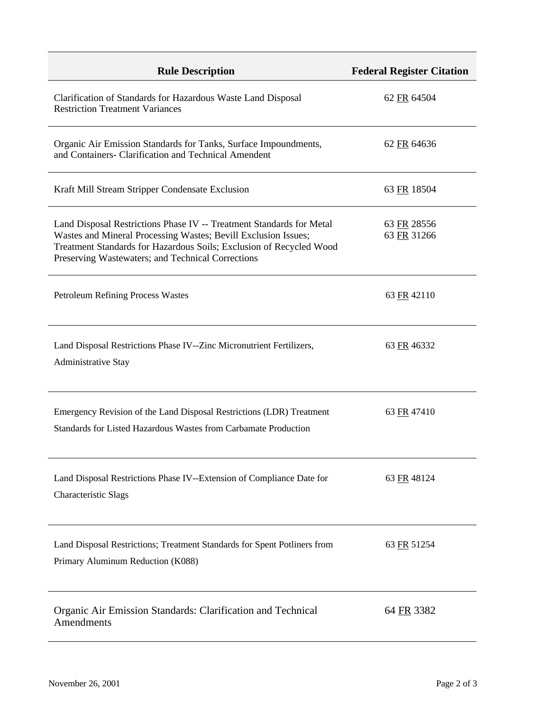| <b>Rule Description</b>                                                                                                                                                                                                                                            | <b>Federal Register Citation</b> |
|--------------------------------------------------------------------------------------------------------------------------------------------------------------------------------------------------------------------------------------------------------------------|----------------------------------|
| Clarification of Standards for Hazardous Waste Land Disposal<br><b>Restriction Treatment Variances</b>                                                                                                                                                             | 62 FR 64504                      |
| Organic Air Emission Standards for Tanks, Surface Impoundments,<br>and Containers- Clarification and Technical Amendent                                                                                                                                            | 62 FR 64636                      |
| Kraft Mill Stream Stripper Condensate Exclusion                                                                                                                                                                                                                    | 63 FR 18504                      |
| Land Disposal Restrictions Phase IV -- Treatment Standards for Metal<br>Wastes and Mineral Processing Wastes; Bevill Exclusion Issues;<br>Treatment Standards for Hazardous Soils; Exclusion of Recycled Wood<br>Preserving Wastewaters; and Technical Corrections | 63 FR 28556<br>63 FR 31266       |
| <b>Petroleum Refining Process Wastes</b>                                                                                                                                                                                                                           | 63 FR 42110                      |
| Land Disposal Restrictions Phase IV--Zinc Micronutrient Fertilizers,<br>Administrative Stay                                                                                                                                                                        | 63 FR 46332                      |
| Emergency Revision of the Land Disposal Restrictions (LDR) Treatment<br>Standards for Listed Hazardous Wastes from Carbamate Production                                                                                                                            | 63 FR 47410                      |
| Land Disposal Restrictions Phase IV--Extension of Compliance Date for<br><b>Characteristic Slags</b>                                                                                                                                                               | 63 FR 48124                      |
| Land Disposal Restrictions; Treatment Standards for Spent Potliners from<br>Primary Aluminum Reduction (K088)                                                                                                                                                      | 63 FR 51254                      |
| Organic Air Emission Standards: Clarification and Technical<br>Amendments                                                                                                                                                                                          | 64 FR 3382                       |